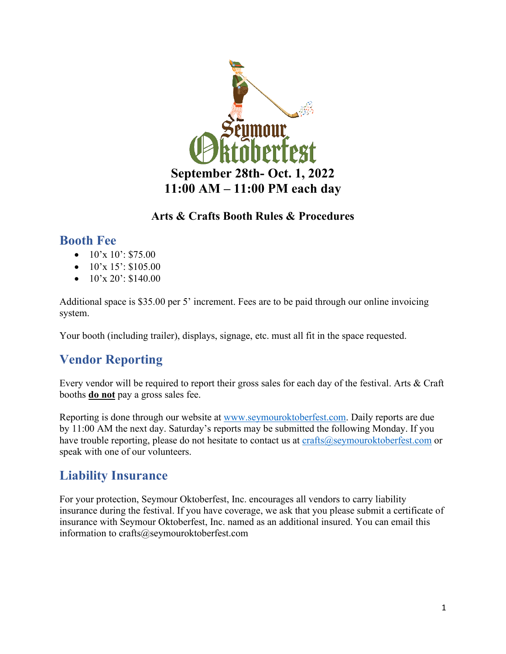

#### **Arts & Crafts Booth Rules & Procedures**

### **Booth Fee**

- $10'x 10'$ : \$75.00
- $10'x 15': $105.00$
- $\bullet$  10'x 20': \$140.00

Additional space is \$35.00 per 5' increment. Fees are to be paid through our online invoicing system.

Your booth (including trailer), displays, signage, etc. must all fit in the space requested.

# **Vendor Reporting**

Every vendor will be required to report their gross sales for each day of the festival. Arts & Craft booths **do not** pay a gross sales fee.

Reporting is done through our website at [www.seymouroktoberfest.com.](http://www.seymouroktoberfest.com/) Daily reports are due by 11:00 AM the next day. Saturday's reports may be submitted the following Monday. If you have trouble reporting, please do not hesitate to contact us at  $crafts@$ seymouroktoberfest.com or speak with one of our volunteers.

# **Liability Insurance**

For your protection, Seymour Oktoberfest, Inc. encourages all vendors to carry liability insurance during the festival. If you have coverage, we ask that you please submit a certificate of insurance with Seymour Oktoberfest, Inc. named as an additional insured. You can email this information to crafts@seymouroktoberfest.com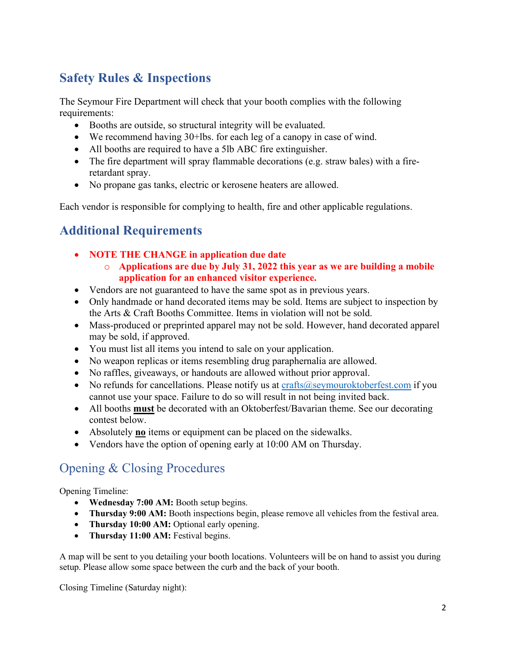# **Safety Rules & Inspections**

The Seymour Fire Department will check that your booth complies with the following requirements:

- Booths are outside, so structural integrity will be evaluated.
- We recommend having 30+lbs. for each leg of a canopy in case of wind.
- All booths are required to have a 5lb ABC fire extinguisher.
- The fire department will spray flammable decorations (e.g. straw bales) with a fireretardant spray.
- No propane gas tanks, electric or kerosene heaters are allowed.

Each vendor is responsible for complying to health, fire and other applicable regulations.

# **Additional Requirements**

- **NOTE THE CHANGE in application due date**
	- o **Applications are due by July 31, 2022 this year as we are building a mobile application for an enhanced visitor experience.**
- Vendors are not guaranteed to have the same spot as in previous years.
- Only handmade or hand decorated items may be sold. Items are subject to inspection by the Arts & Craft Booths Committee. Items in violation will not be sold.
- Mass-produced or preprinted apparel may not be sold. However, hand decorated apparel may be sold, if approved.
- You must list all items you intend to sale on your application.
- No weapon replicas or items resembling drug paraphernalia are allowed.
- No raffles, giveaways, or handouts are allowed without prior approval.
- No refunds for cancellations. Please notify us at [crafts@seymouroktoberfest.com](mailto:crafts@seymouroktoberfest.com) if you cannot use your space. Failure to do so will result in not being invited back.
- All booths **must** be decorated with an Oktoberfest/Bavarian theme. See our decorating contest below.
- Absolutely **no** items or equipment can be placed on the sidewalks.
- Vendors have the option of opening early at 10:00 AM on Thursday.

# Opening & Closing Procedures

Opening Timeline:

- **Wednesday 7:00 AM:** Booth setup begins.
- **Thursday 9:00 AM:** Booth inspections begin, please remove all vehicles from the festival area.
- **Thursday 10:00 AM:** Optional early opening.
- **Thursday 11:00 AM:** Festival begins.

A map will be sent to you detailing your booth locations. Volunteers will be on hand to assist you during setup. Please allow some space between the curb and the back of your booth.

Closing Timeline (Saturday night):